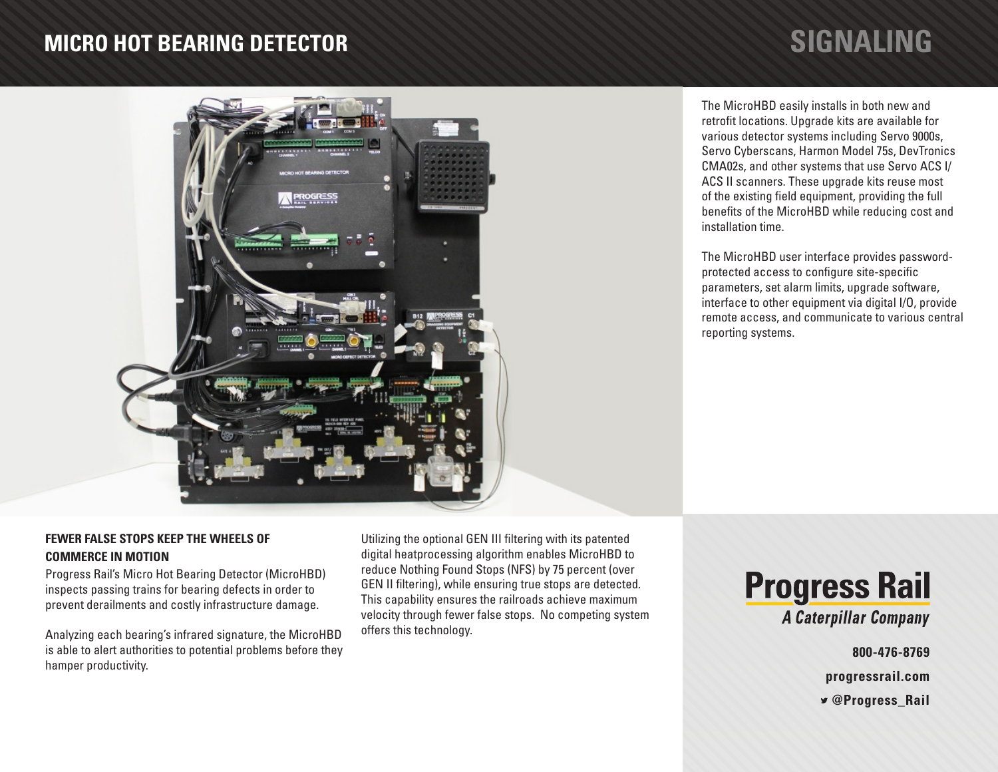# **MICRO HOT BEARING DETECTOR SIGNALING**



The MicroHBD easily installs in both new and retrofit locations. Upgrade kits are available for various detector systems including Servo 9000s, Servo Cyberscans, Harmon Model 75s, DevTronics CMA02s, and other systems that use Servo ACS I/ ACS II scanners. These upgrade kits reuse most of the existing field equipment, providing the full benefits of the MicroHBD while reducing cost and installation time.

The MicroHBD user interface provides passwordprotected access to configure site-specific parameters, set alarm limits, upgrade software, interface to other equipment via digital I/O, provide remote access, and communicate to various central reporting systems.

# **FEWER FALSE STOPS KEEP THE WHEELS OF COMMERCE IN MOTION**

Progress Rail's Micro Hot Bearing Detector (MicroHBD) inspects passing trains for bearing defects in order to prevent derailments and costly infrastructure damage.

Analyzing each bearing's infrared signature, the MicroHBD is able to alert authorities to potential problems before they hamper productivity.

Utilizing the optional GEN III filtering with its patented digital heatprocessing algorithm enables MicroHBD to reduce Nothing Found Stops (NFS) by 75 percent (over GEN II filtering), while ensuring true stops are detected. This capability ensures the railroads achieve maximum velocity through fewer false stops. No competing system offers this technology.



**800-476-8769**

**progressrail.com**

 **@Progress\_Rail**